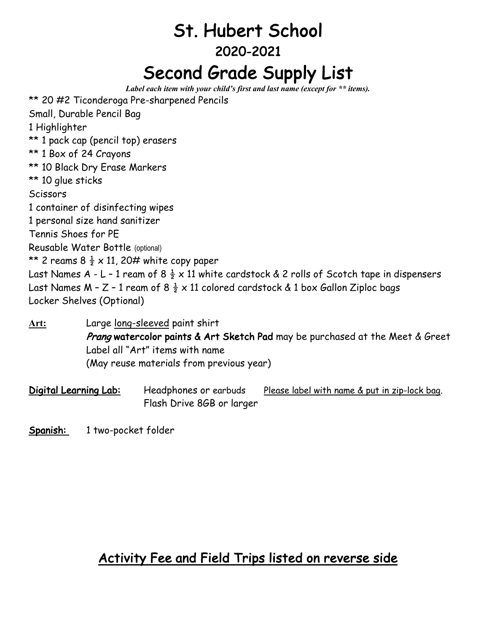## St. Hubert School 2020-2021 Second Grade Supply List

*Label each item with your child's first and last name (except for \*\* items).*

| ** 20 #2 Ticonderoga Pre-sharpened Pencils                                                               |
|----------------------------------------------------------------------------------------------------------|
| Small, Durable Pencil Bag                                                                                |
| 1 Highlighter                                                                                            |
| ** 1 pack cap (pencil top) erasers                                                                       |
| ** 1 Box of 24 Crayons                                                                                   |
| ** 10 Black Dry Erase Markers                                                                            |
| ** 10 glue sticks                                                                                        |
| Scissors                                                                                                 |
| 1 container of disinfecting wipes                                                                        |
| 1 personal size hand sanitizer                                                                           |
| Tennis Shoes for PE                                                                                      |
| Reusable Water Bottle (optional)                                                                         |
| ** 2 reams 8 $\frac{1}{2} \times 11$ , 20# white copy paper                                              |
| Last Names A - L - 1 ream of 8 $\frac{1}{2}$ x 11 white cardstock & 2 rolls of Scotch tape in dispensers |
| Last Names M - Z - 1 ream of 8 $\frac{1}{2}$ x 11 colored cardstock & 1 box Gallon Ziploc bags           |
| Locker Shelves (Optional)                                                                                |
|                                                                                                          |

**Art:** Large long-sleeved paint shirt Prang watercolor paints & Art Sketch Pad may be purchased at the Meet & Greet Label all "Art" items with name (May reuse materials from previous year)

Digital Learning Lab: Headphones or earbuds Please label with name & put in zip-lock bag. Flash Drive 8GB or larger

Spanish: 1 two-pocket folder

## Activity Fee and Field Trips listed on reverse side